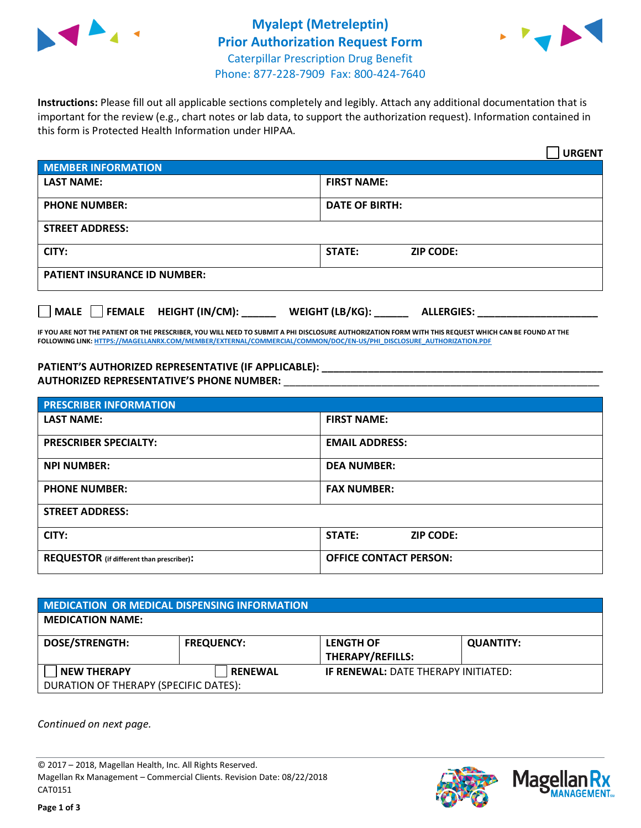



**Instructions:** Please fill out all applicable sections completely and legibly. Attach any additional documentation that is important for the review (e.g., chart notes or lab data, to support the authorization request). Information contained in this form is Protected Health Information under HIPAA.

|                                     | <b>URGENT</b>                        |  |
|-------------------------------------|--------------------------------------|--|
| <b>MEMBER INFORMATION</b>           |                                      |  |
| <b>LAST NAME:</b>                   | <b>FIRST NAME:</b>                   |  |
| <b>PHONE NUMBER:</b>                | <b>DATE OF BIRTH:</b>                |  |
| <b>STREET ADDRESS:</b>              |                                      |  |
| CITY:                               | STATE:<br><b>ZIP CODE:</b>           |  |
| <b>PATIENT INSURANCE ID NUMBER:</b> |                                      |  |
| FEMALE HEIGHT (IN/CM):<br>    MALE  | WEIGHT (LB/KG):<br><b>ALLERGIES:</b> |  |

**IF YOU ARE NOT THE PATIENT OR THE PRESCRIBER, YOU WILL NEED TO SUBMIT A PHI DISCLOSURE AUTHORIZATION FORM WITH THIS REQUEST WHICH CAN BE FOUND AT THE FOLLOWING LINK[: HTTPS://MAGELLANRX.COM/MEMBER/EXTERNAL/COMMERCIAL/COMMON/DOC/EN-US/PHI\\_DISCLOSURE\\_AUTHORIZATION.PDF](https://magellanrx.com/member/external/commercial/common/doc/en-us/PHI_Disclosure_Authorization.pdf)**

PATIENT'S AUTHORIZED REPRESENTATIVE (IF APPLICABLE): **AUTHORIZED REPRESENTATIVE'S PHONE NUMBER:** \_\_\_\_\_\_\_\_\_\_\_\_\_\_\_\_\_\_\_\_\_\_\_\_\_\_\_\_\_\_\_\_\_\_\_\_\_\_\_\_\_\_\_\_\_\_\_\_\_\_\_\_\_\_\_

| <b>PRESCRIBER INFORMATION</b>             |                               |  |  |  |
|-------------------------------------------|-------------------------------|--|--|--|
| <b>LAST NAME:</b>                         | <b>FIRST NAME:</b>            |  |  |  |
| <b>PRESCRIBER SPECIALTY:</b>              | <b>EMAIL ADDRESS:</b>         |  |  |  |
| <b>NPI NUMBER:</b>                        | <b>DEA NUMBER:</b>            |  |  |  |
| <b>PHONE NUMBER:</b>                      | <b>FAX NUMBER:</b>            |  |  |  |
| <b>STREET ADDRESS:</b>                    |                               |  |  |  |
| CITY:                                     | STATE:<br><b>ZIP CODE:</b>    |  |  |  |
| REQUESTOR (if different than prescriber): | <b>OFFICE CONTACT PERSON:</b> |  |  |  |

| <b>MEDICATION OR MEDICAL DISPENSING INFORMATION</b> |                   |                                            |                  |  |  |
|-----------------------------------------------------|-------------------|--------------------------------------------|------------------|--|--|
| <b>MEDICATION NAME:</b>                             |                   |                                            |                  |  |  |
| <b>DOSE/STRENGTH:</b>                               | <b>FREQUENCY:</b> | <b>LENGTH OF</b>                           | <b>QUANTITY:</b> |  |  |
|                                                     |                   | <b>THERAPY/REFILLS:</b>                    |                  |  |  |
| <b>NEW THERAPY</b>                                  | <b>RENEWAL</b>    | <b>IF RENEWAL: DATE THERAPY INITIATED:</b> |                  |  |  |
| DURATION OF THERAPY (SPECIFIC DATES):               |                   |                                            |                  |  |  |

*Continued on next page.*

© 2017 – 2018, Magellan Health, Inc. All Rights Reserved. Magellan Rx Management – Commercial Clients. Revision Date: 08/22/2018 CAT0151



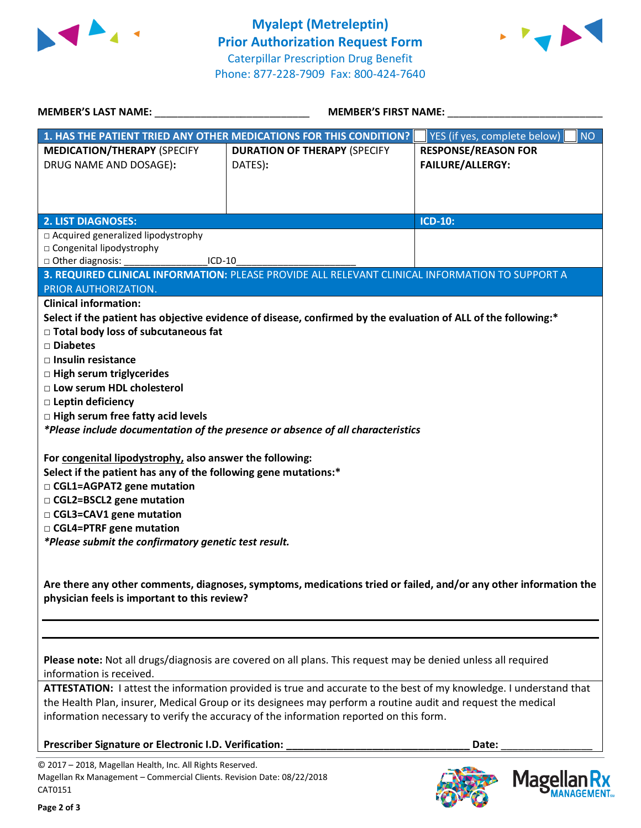



**MANAGEMENT**<sub>SM</sub>

| <b>MEMBER'S LAST NAME:</b>                                                                     | <b>MEMBER'S FIRST NAME:</b>                                                                                        |                                             |  |
|------------------------------------------------------------------------------------------------|--------------------------------------------------------------------------------------------------------------------|---------------------------------------------|--|
|                                                                                                | 1. HAS THE PATIENT TRIED ANY OTHER MEDICATIONS FOR THIS CONDITION?                                                 | YES (if yes, complete below)  <br><b>NO</b> |  |
| <b>MEDICATION/THERAPY (SPECIFY</b>                                                             | <b>DURATION OF THERAPY (SPECIFY</b>                                                                                | <b>RESPONSE/REASON FOR</b>                  |  |
| DRUG NAME AND DOSAGE):                                                                         | DATES):                                                                                                            | <b>FAILURE/ALLERGY:</b>                     |  |
|                                                                                                |                                                                                                                    |                                             |  |
|                                                                                                |                                                                                                                    |                                             |  |
|                                                                                                |                                                                                                                    |                                             |  |
| <b>2. LIST DIAGNOSES:</b><br>□ Acquired generalized lipodystrophy                              |                                                                                                                    | <b>ICD-10:</b>                              |  |
| □ Congenital lipodystrophy                                                                     |                                                                                                                    |                                             |  |
| ICD-10                                                                                         |                                                                                                                    |                                             |  |
|                                                                                                | 3. REQUIRED CLINICAL INFORMATION: PLEASE PROVIDE ALL RELEVANT CLINICAL INFORMATION TO SUPPORT A                    |                                             |  |
| PRIOR AUTHORIZATION.                                                                           |                                                                                                                    |                                             |  |
| <b>Clinical information:</b>                                                                   |                                                                                                                    |                                             |  |
|                                                                                                | Select if the patient has objective evidence of disease, confirmed by the evaluation of ALL of the following:*     |                                             |  |
| $\Box$ Total body loss of subcutaneous fat                                                     |                                                                                                                    |                                             |  |
| □ Diabetes                                                                                     |                                                                                                                    |                                             |  |
| $\Box$ Insulin resistance                                                                      |                                                                                                                    |                                             |  |
| □ High serum triglycerides<br>□ Low serum HDL cholesterol                                      |                                                                                                                    |                                             |  |
| □ Leptin deficiency                                                                            |                                                                                                                    |                                             |  |
| $\Box$ High serum free fatty acid levels                                                       |                                                                                                                    |                                             |  |
|                                                                                                | *Please include documentation of the presence or absence of all characteristics                                    |                                             |  |
|                                                                                                |                                                                                                                    |                                             |  |
| For congenital lipodystrophy, also answer the following:                                       |                                                                                                                    |                                             |  |
| Select if the patient has any of the following gene mutations:*<br>□ CGL1=AGPAT2 gene mutation |                                                                                                                    |                                             |  |
| □ CGL2=BSCL2 gene mutation                                                                     |                                                                                                                    |                                             |  |
| □ CGL3=CAV1 gene mutation                                                                      |                                                                                                                    |                                             |  |
| □ CGL4=PTRF gene mutation                                                                      |                                                                                                                    |                                             |  |
| *Please submit the confirmatory genetic test result.                                           |                                                                                                                    |                                             |  |
|                                                                                                |                                                                                                                    |                                             |  |
|                                                                                                |                                                                                                                    |                                             |  |
| physician feels is important to this review?                                                   | Are there any other comments, diagnoses, symptoms, medications tried or failed, and/or any other information the   |                                             |  |
|                                                                                                |                                                                                                                    |                                             |  |
|                                                                                                |                                                                                                                    |                                             |  |
|                                                                                                |                                                                                                                    |                                             |  |
|                                                                                                | Please note: Not all drugs/diagnosis are covered on all plans. This request may be denied unless all required      |                                             |  |
| information is received.                                                                       |                                                                                                                    |                                             |  |
|                                                                                                | ATTESTATION: I attest the information provided is true and accurate to the best of my knowledge. I understand that |                                             |  |
|                                                                                                | the Health Plan, insurer, Medical Group or its designees may perform a routine audit and request the medical       |                                             |  |
|                                                                                                | information necessary to verify the accuracy of the information reported on this form.                             |                                             |  |
| Prescriber Signature or Electronic I.D. Verification:                                          |                                                                                                                    | Date:                                       |  |
| © 2017 - 2018, Magellan Health, Inc. All Rights Reserved.                                      |                                                                                                                    |                                             |  |
| Magellan Rx Management - Commercial Clients. Revision Date: 08/22/2018<br>CAT0151              |                                                                                                                    | <b>Magella</b>                              |  |

CAT0151